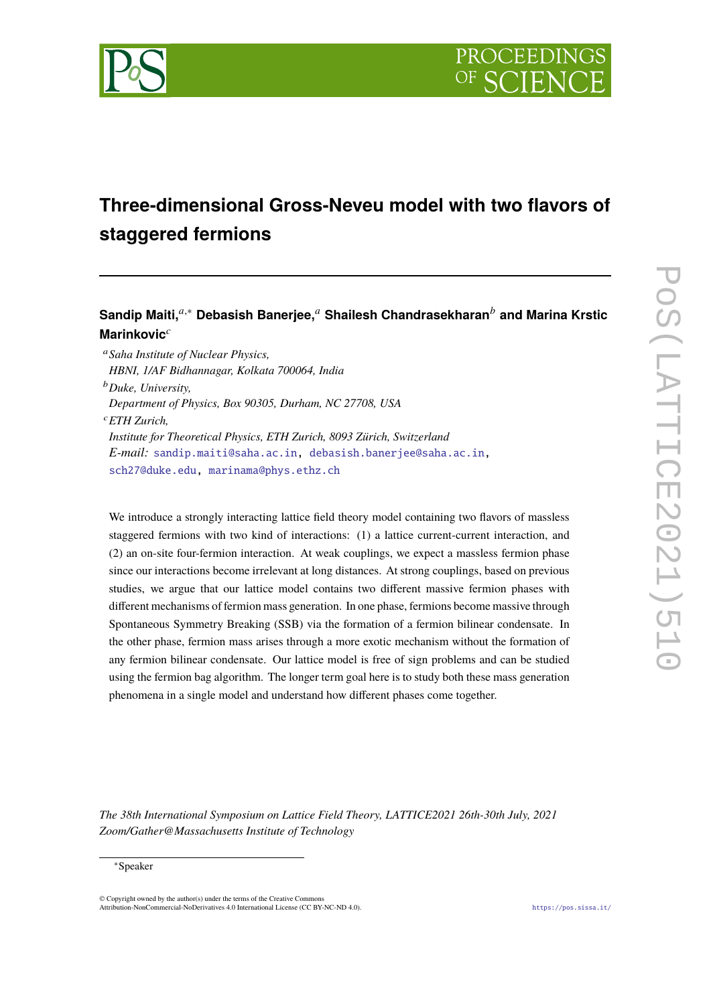

# **Three-dimensional Gross-Neveu model with two flavors of staggered fermions**

# **Sandip Maiti,**𝑎,<sup>∗</sup> **Debasish Banerjee,**<sup>𝑎</sup> **Shailesh Chandrasekharan**<sup>𝑏</sup> **and Marina Krstic Marinkovic**<sup>c</sup>

<sup>𝑎</sup>*Saha Institute of Nuclear Physics, HBNI, 1/AF Bidhannagar, Kolkata 700064, India* <sup>𝑏</sup>*Duke, University, Department of Physics, Box 90305, Durham, NC 27708, USA* <sup>𝑐</sup>*ETH Zurich, Institute for Theoretical Physics, ETH Zurich, 8093 Zürich, Switzerland E-mail:* [sandip.maiti@saha.ac.in,](mailto:sandip.maiti@saha.ac.in) [debasish.banerjee@saha.ac.in,](mailto:debasish.banerjee@saha.ac.in) [sch27@duke.edu,](mailto:sch27@duke.edu) [marinama@phys.ethz.ch](mailto:marinama@phys.ethz.ch)

We introduce a strongly interacting lattice field theory model containing two flavors of massless staggered fermions with two kind of interactions: (1) a lattice current-current interaction, and (2) an on-site four-fermion interaction. At weak couplings, we expect a massless fermion phase since our interactions become irrelevant at long distances. At strong couplings, based on previous studies, we argue that our lattice model contains two different massive fermion phases with different mechanisms of fermion mass generation. In one phase, fermions become massive through Spontaneous Symmetry Breaking (SSB) via the formation of a fermion bilinear condensate. In the other phase, fermion mass arises through a more exotic mechanism without the formation of any fermion bilinear condensate. Our lattice model is free of sign problems and can be studied using the fermion bag algorithm. The longer term goal here is to study both these mass generation phenomena in a single model and understand how different phases come together.

*The 38th International Symposium on Lattice Field Theory, LATTICE2021 26th-30th July, 2021 Zoom/Gather@Massachusetts Institute of Technology*

#### <sup>∗</sup>Speaker

© Copyright owned by the author(s) under the terms of the Creative Commons Attribution-NonCommercial-NoDerivatives 4.0 International License (CC BY-NC-ND 4.0). <https://pos.sissa.it/>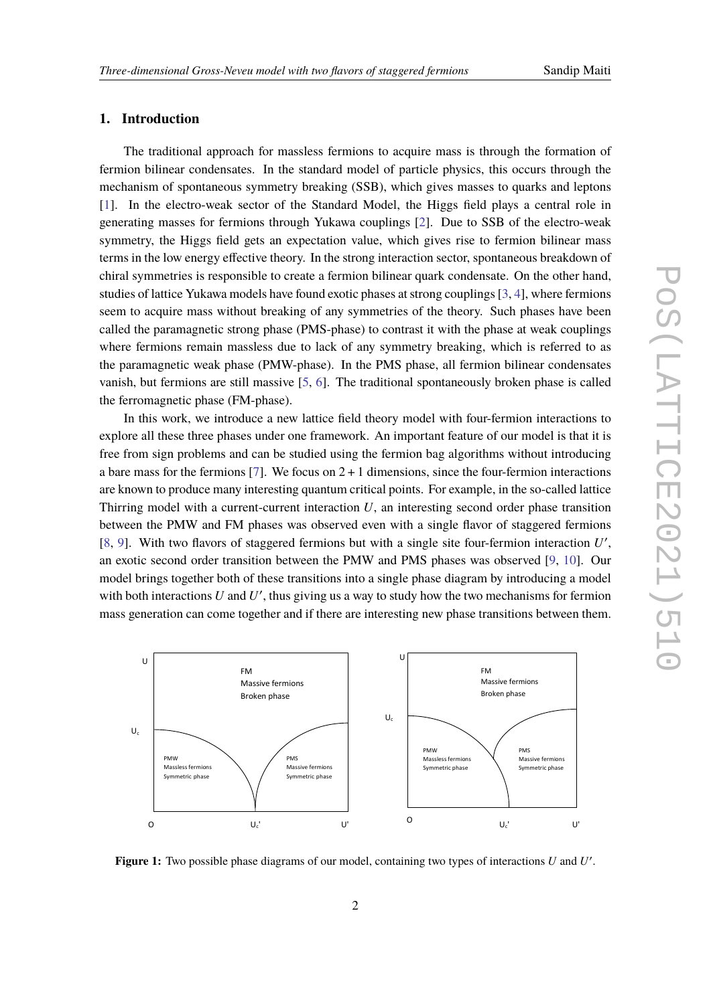### **1. Introduction**

The traditional approach for massless fermions to acquire mass is through the formation of fermion bilinear condensates. In the standard model of particle physics, this occurs through the mechanism of spontaneous symmetry breaking (SSB), which gives masses to quarks and leptons [\[1\]](#page-6-0). In the electro-weak sector of the Standard Model, the Higgs field plays a central role in generating masses for fermions through Yukawa couplings [\[2\]](#page-7-0). Due to SSB of the electro-weak symmetry, the Higgs field gets an expectation value, which gives rise to fermion bilinear mass terms in the low energy effective theory. In the strong interaction sector, spontaneous breakdown of chiral symmetries is responsible to create a fermion bilinear quark condensate. On the other hand, studies of lattice Yukawa models have found exotic phases at strong couplings [\[3,](#page-7-1) [4\]](#page-7-2), where fermions seem to acquire mass without breaking of any symmetries of the theory. Such phases have been called the paramagnetic strong phase (PMS-phase) to contrast it with the phase at weak couplings where fermions remain massless due to lack of any symmetry breaking, which is referred to as the paramagnetic weak phase (PMW-phase). In the PMS phase, all fermion bilinear condensates vanish, but fermions are still massive [\[5,](#page-7-3) [6\]](#page-7-4). The traditional spontaneously broken phase is called the ferromagnetic phase (FM-phase).

In this work, we introduce a new lattice field theory model with four-fermion interactions to explore all these three phases under one framework. An important feature of our model is that it is free from sign problems and can be studied using the fermion bag algorithms without introducing a bare mass for the fermions [\[7\]](#page-7-5). We focus on  $2 + 1$  dimensions, since the four-fermion interactions are known to produce many interesting quantum critical points. For example, in the so-called lattice Thirring model with a current-current interaction  $U$ , an interesting second order phase transition between the PMW and FM phases was observed even with a single flavor of staggered fermions [\[8,](#page-7-6) [9\]](#page-7-7). With two flavors of staggered fermions but with a single site four-fermion interaction  $U'$ , an exotic second order transition between the PMW and PMS phases was observed [\[9,](#page-7-7) [10\]](#page-7-8). Our model brings together both of these transitions into a single phase diagram by introducing a model with both interactions  $U$  and  $U'$ , thus giving us a way to study how the two mechanisms for fermion mass generation can come together and if there are interesting new phase transitions between them.

<span id="page-1-0"></span>

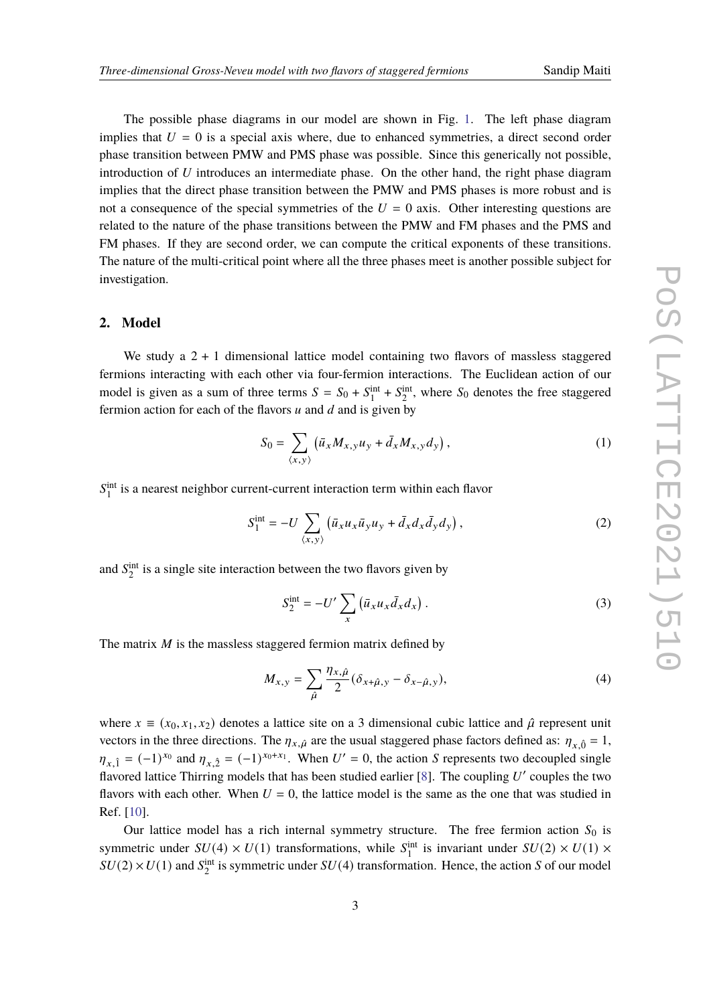implies that the direct phase transition between the PMW and PMS phases is more robust and is not a consequence of the special symmetries of the  $U = 0$  axis. Other interesting questions are related to the nature of the phase transitions between the PMW and FM phases and the PMS and FM phases. If they are second order, we can compute the critical exponents of these transitions. The nature of the multi-critical point where all the three phases meet is another possible subject for investigation.

### **2. Model**

We study a  $2 + 1$  dimensional lattice model containing two flavors of massless staggered fermions interacting with each other via four-fermion interactions. The Euclidean action of our model is given as a sum of three terms  $S = S_0 + S_1^{\text{int}} + S_2^{\text{int}}$ , where  $S_0$  denotes the free staggered fermion action for each of the flavors  $u$  and  $d$  and is given by

$$
S_0 = \sum_{\langle x, y \rangle} \left( \bar{u}_x M_{x, y} u_y + \bar{d}_x M_{x, y} d_y \right), \tag{1}
$$

 $S_1^{\text{int}}$  is a nearest neighbor current-current interaction term within each flavor

$$
S_1^{\text{int}} = -U \sum_{\langle x, y \rangle} \left( \bar{u}_x u_x \bar{u}_y u_y + \bar{d}_x d_x \bar{d}_y d_y \right), \tag{2}
$$

and  $S_2^{\text{int}}$  is a single site interaction between the two flavors given by

$$
S_2^{\text{int}} = -U' \sum_x \left( \bar{u}_x u_x \bar{d}_x d_x \right). \tag{3}
$$

The matrix  $M$  is the massless staggered fermion matrix defined by

$$
M_{x,y} = \sum_{\hat{\mu}} \frac{\eta_{x,\hat{\mu}}}{2} (\delta_{x+\hat{\mu},y} - \delta_{x-\hat{\mu},y}), \tag{4}
$$

where  $x \equiv (x_0, x_1, x_2)$  denotes a lattice site on a 3 dimensional cubic lattice and  $\hat{\mu}$  represent unit vectors in the three directions. The  $\eta_{x,\hat{\mu}}$  are the usual staggered phase factors defined as:  $\eta_{x,\hat{0}} = 1$ ,  $\eta_{x,\hat{1}} = (-1)^{x_0}$  and  $\eta_{x,\hat{2}} = (-1)^{x_0 + x_1}$ . When  $U' = 0$ , the action S represents two decoupled single flavored lattice Thirring models that has been studied earlier [\[8\]](#page-7-6). The coupling  $U'$  couples the two flavors with each other. When  $U = 0$ , the lattice model is the same as the one that was studied in Ref. [\[10\]](#page-7-8).

Our lattice model has a rich internal symmetry structure. The free fermion action  $S_0$  is symmetric under  $SU(4) \times U(1)$  transformations, while  $S_1^{\text{int}}$  is invariant under  $SU(2) \times U(1) \times$  $SU(2) \times U(1)$  and  $S_2^{\text{int}}$  is symmetric under  $SU(4)$  transformation. Hence, the action S of our model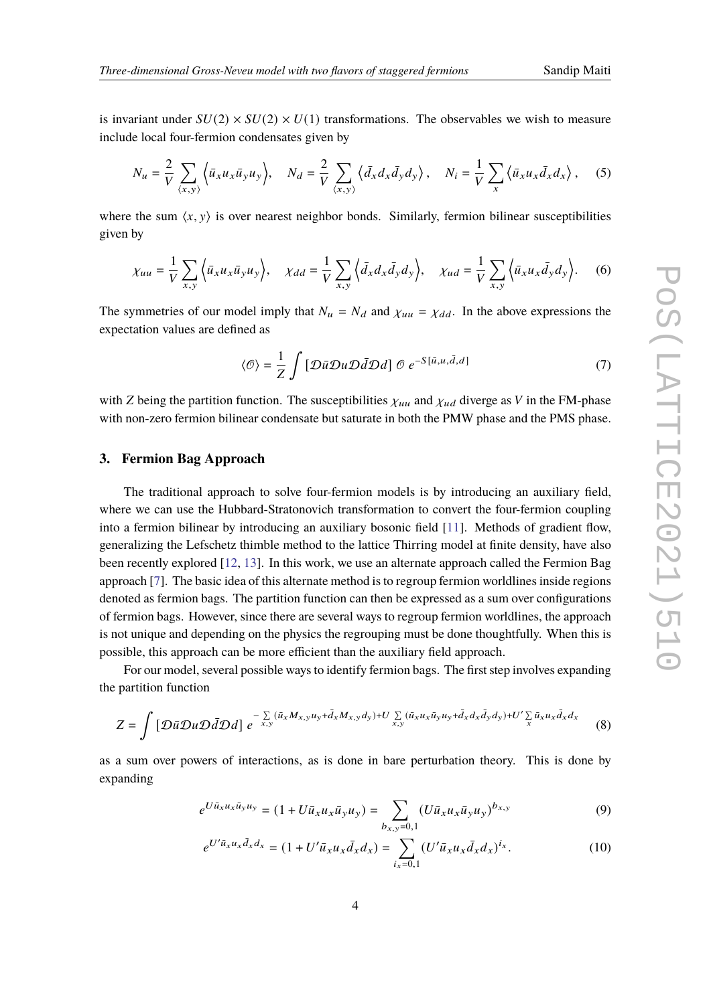is invariant under  $SU(2) \times SU(2) \times U(1)$  transformations. The observables we wish to measure include local four-fermion condensates given by

$$
N_u = \frac{2}{V} \sum_{\langle x, y \rangle} \left\langle \bar{u}_x u_x \bar{u}_y u_y \right\rangle, \quad N_d = \frac{2}{V} \sum_{\langle x, y \rangle} \left\langle \bar{d}_x d_x \bar{d}_y d_y \right\rangle, \quad N_i = \frac{1}{V} \sum_x \left\langle \bar{u}_x u_x \bar{d}_x d_x \right\rangle, \quad (5)
$$

where the sum  $\langle x, y \rangle$  is over nearest neighbor bonds. Similarly, fermion bilinear susceptibilities given by

$$
\chi_{uu} = \frac{1}{V} \sum_{x,y} \left\langle \bar{u}_x u_x \bar{u}_y u_y \right\rangle, \quad \chi_{dd} = \frac{1}{V} \sum_{x,y} \left\langle \bar{d}_x d_x \bar{d}_y d_y \right\rangle, \quad \chi_{ud} = \frac{1}{V} \sum_{x,y} \left\langle \bar{u}_x u_x \bar{d}_y d_y \right\rangle. \tag{6}
$$

The symmetries of our model imply that  $N_u = N_d$  and  $\chi_{uu} = \chi_{dd}$ . In the above expressions the expectation values are defined as

$$
\langle \mathcal{O} \rangle = \frac{1}{Z} \int \left[ \mathcal{D}\bar{u} \mathcal{D}u \mathcal{D}\bar{d} \mathcal{D}d \right] \mathcal{O} \, e^{-S[\bar{u}, u, \bar{d}, d]} \tag{7}
$$

with Z being the partition function. The susceptibilities  $\chi_{uu}$  and  $\chi_{ud}$  diverge as V in the FM-phase with non-zero fermion bilinear condensate but saturate in both the PMW phase and the PMS phase.

#### **3. Fermion Bag Approach**

The traditional approach to solve four-fermion models is by introducing an auxiliary field, where we can use the Hubbard-Stratonovich transformation to convert the four-fermion coupling into a fermion bilinear by introducing an auxiliary bosonic field [\[11\]](#page-7-9). Methods of gradient flow, generalizing the Lefschetz thimble method to the lattice Thirring model at finite density, have also been recently explored [\[12,](#page-7-10) [13\]](#page-7-11). In this work, we use an alternate approach called the Fermion Bag approach [\[7\]](#page-7-5). The basic idea of this alternate method is to regroup fermion worldlines inside regions denoted as fermion bags. The partition function can then be expressed as a sum over configurations of fermion bags. However, since there are several ways to regroup fermion worldlines, the approach is not unique and depending on the physics the regrouping must be done thoughtfully. When this is possible, this approach can be more efficient than the auxiliary field approach.

For our model, several possible ways to identify fermion bags. The first step involves expanding the partition function

$$
Z = \int \left[ \mathcal{D}\bar{u}\mathcal{D}u\mathcal{D}\bar{d}\mathcal{D}d \right] e^{-\sum\limits_{x,y} (\bar{u}_x M_{x,y} u_y + \bar{d}_x M_{x,y} d_y) + U \sum\limits_{x,y} (\bar{u}_x u_x \bar{u}_y u_y + \bar{d}_x d_x \bar{d}_y d_y) + U' \sum\limits_{x} \bar{u}_x u_x \bar{d}_x d_x}
$$
(8)

as a sum over powers of interactions, as is done in bare perturbation theory. This is done by expanding

$$
e^{U\bar{u}_x u_x \bar{u}_y u_y} = (1 + U\bar{u}_x u_x \bar{u}_y u_y) = \sum_{b_{x,y}=0,1} (U\bar{u}_x u_x \bar{u}_y u_y)^{b_{x,y}}
$$
(9)

$$
e^{U'\bar{u}_x u_x \bar{d}_x d_x} = (1 + U'\bar{u}_x u_x \bar{d}_x d_x) = \sum_{i_x = 0,1} (U'\bar{u}_x u_x \bar{d}_x d_x)^{i_x}.
$$
 (10)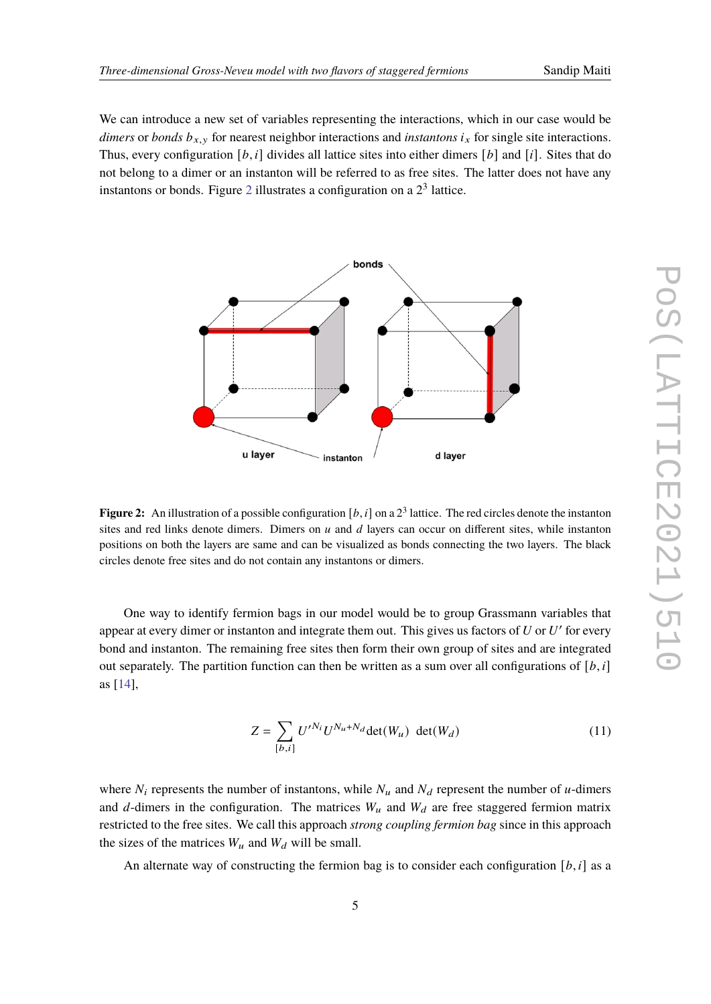We can introduce a new set of variables representing the interactions, which in our case would be *dimers* or *bonds*  $b_{x,y}$  for nearest neighbor interactions and *instantons*  $i_x$  for single site interactions. Thus, every configuration [b, i] divides all lattice sites into either dimers [b] and [i]. Sites that do not belong to a dimer or an instanton will be referred to as free sites. The latter does not have any instantons or bonds. Figure [2](#page-4-0) illustrates a configuration on a  $2<sup>3</sup>$  lattice.

<span id="page-4-0"></span>

**Figure 2:** An illustration of a possible configuration  $[b, i]$  on a  $2<sup>3</sup>$  lattice. The red circles denote the instanton sites and red links denote dimers. Dimers on  $u$  and  $d$  layers can occur on different sites, while instanton positions on both the layers are same and can be visualized as bonds connecting the two layers. The black circles denote free sites and do not contain any instantons or dimers.

One way to identify fermion bags in our model would be to group Grassmann variables that appear at every dimer or instanton and integrate them out. This gives us factors of  $U$  or  $U'$  for every bond and instanton. The remaining free sites then form their own group of sites and are integrated out separately. The partition function can then be written as a sum over all configurations of  $[b, i]$ as [\[14\]](#page-7-12),

$$
Z = \sum_{[b,i]} U^{\prime N_i} U^{N_u + N_d} \det(W_u) \ \det(W_d) \tag{11}
$$

where  $N_i$  represents the number of instantons, while  $N_u$  and  $N_d$  represent the number of u-dimers and d-dimers in the configuration. The matrices  $W_u$  and  $W_d$  are free staggered fermion matrix restricted to the free sites. We call this approach *strong coupling fermion bag* since in this approach the sizes of the matrices  $W_u$  and  $W_d$  will be small.

An alternate way of constructing the fermion bag is to consider each configuration  $[b, i]$  as a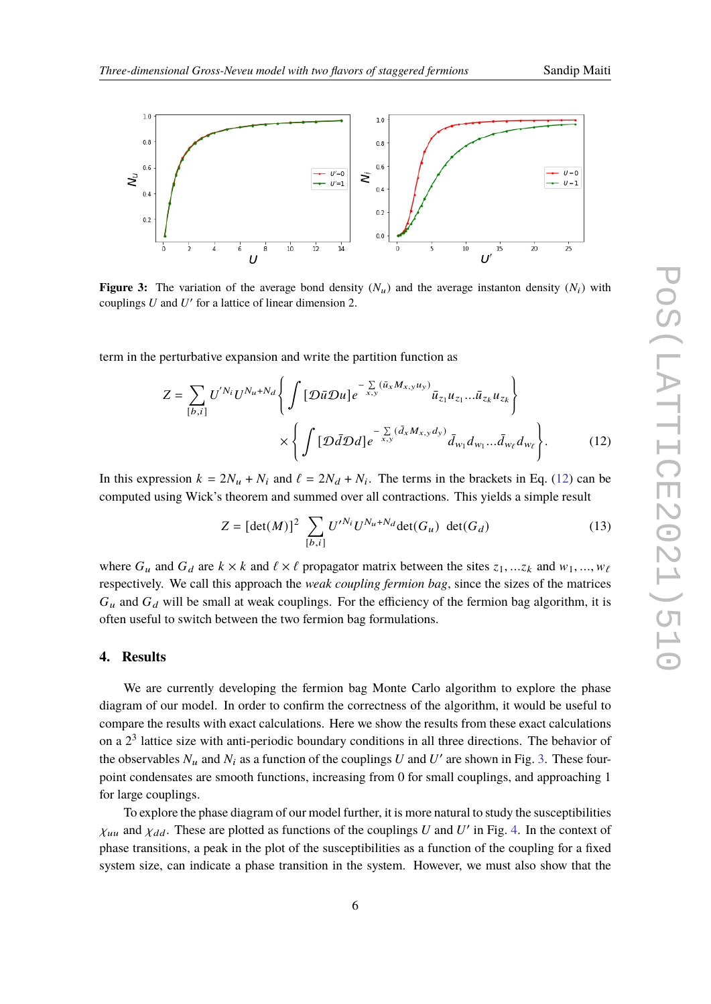<span id="page-5-0"></span>

<span id="page-5-1"></span>

**Figure 3:** The variation of the average bond density  $(N_u)$  and the average instanton density  $(N_i)$  with couplings  $U$  and  $U'$  for a lattice of linear dimension 2.

term in the perturbative expansion and write the partition function as

$$
Z = \sum_{[b,i]} U^{'N_i} U^{N_u + N_d} \left\{ \int \left[ \mathcal{D} \bar{u} \mathcal{D}u \right] e^{-\sum\limits_{x,y} (\bar{u}_x M_{x,y} u_y)} \bar{u}_{z_1} u_{z_1} \dots \bar{u}_{z_k} u_{z_k} \right\}
$$

$$
\times \left\{ \int \left[ \mathcal{D} \bar{d} \mathcal{D} d \right] e^{-\sum\limits_{x,y} (\bar{d}_x M_{x,y} d_y)} \bar{d}_{w_1} d_{w_1} \dots \bar{d}_{w_\ell} d_{w_\ell} \right\}.
$$
(12)

In this expression  $k = 2N_u + N_i$  and  $\ell = 2N_d + N_i$ . The terms in the brackets in Eq. [\(12\)](#page-5-0) can be computed using Wick's theorem and summed over all contractions. This yields a simple result

$$
Z = [\det(M)]^2 \sum_{[b,i]} U'^{N_i} U^{N_u + N_d} \det(G_u) \ \det(G_d) \tag{13}
$$

where  $G_u$  and  $G_d$  are  $k \times k$  and  $\ell \times \ell$  propagator matrix between the sites  $z_1, \ldots, z_k$  and  $w_1, \ldots, w_\ell$ respectively. We call this approach the *weak coupling fermion bag*, since the sizes of the matrices  $G_u$  and  $G_d$  will be small at weak couplings. For the efficiency of the fermion bag algorithm, it is often useful to switch between the two fermion bag formulations.

#### **4. Results**

We are currently developing the fermion bag Monte Carlo algorithm to explore the phase diagram of our model. In order to confirm the correctness of the algorithm, it would be useful to compare the results with exact calculations. Here we show the results from these exact calculations on a  $2<sup>3</sup>$  lattice size with anti-periodic boundary conditions in all three directions. The behavior of the observables  $N_u$  and  $N_i$  as a function of the couplings U and U' are shown in Fig. [3.](#page-5-1) These fourpoint condensates are smooth functions, increasing from 0 for small couplings, and approaching 1 for large couplings.

To explore the phase diagram of our model further, it is more natural to study the susceptibilities  $\chi_{uu}$  and  $\chi_{dd}$ . These are plotted as functions of the couplings U and U' in Fig. [4.](#page-6-1) In the context of phase transitions, a peak in the plot of the susceptibilities as a function of the coupling for a fixed system size, can indicate a phase transition in the system. However, we must also show that the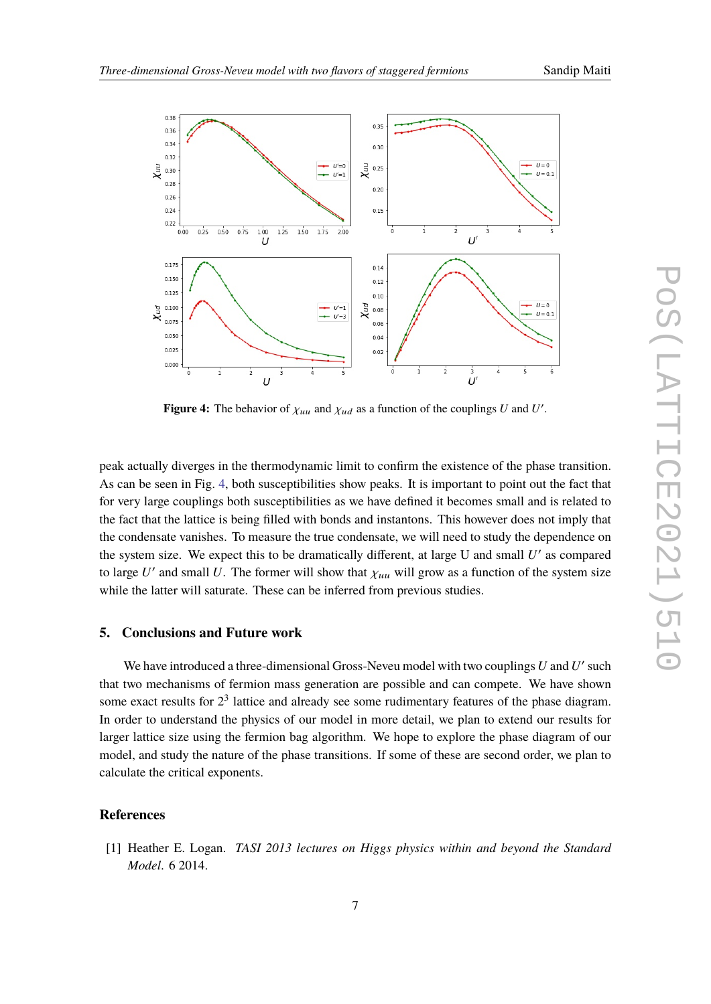<span id="page-6-1"></span>

**Figure 4:** The behavior of  $\chi_{uu}$  and  $\chi_{ud}$  as a function of the couplings U and U'.

peak actually diverges in the thermodynamic limit to confirm the existence of the phase transition. As can be seen in Fig. [4,](#page-6-1) both susceptibilities show peaks. It is important to point out the fact that for very large couplings both susceptibilities as we have defined it becomes small and is related to the fact that the lattice is being filled with bonds and instantons. This however does not imply that the condensate vanishes. To measure the true condensate, we will need to study the dependence on the system size. We expect this to be dramatically different, at large U and small  $U'$  as compared to large U' and small U. The former will show that  $\chi_{uu}$  will grow as a function of the system size while the latter will saturate. These can be inferred from previous studies.

## **5. Conclusions and Future work**

We have introduced a three-dimensional Gross-Neveu model with two couplings  $U$  and  $U'$  such that two mechanisms of fermion mass generation are possible and can compete. We have shown some exact results for  $2<sup>3</sup>$  lattice and already see some rudimentary features of the phase diagram. In order to understand the physics of our model in more detail, we plan to extend our results for larger lattice size using the fermion bag algorithm. We hope to explore the phase diagram of our model, and study the nature of the phase transitions. If some of these are second order, we plan to calculate the critical exponents.

#### **References**

<span id="page-6-0"></span>[1] Heather E. Logan. *TASI 2013 lectures on Higgs physics within and beyond the Standard Model*. 6 2014.